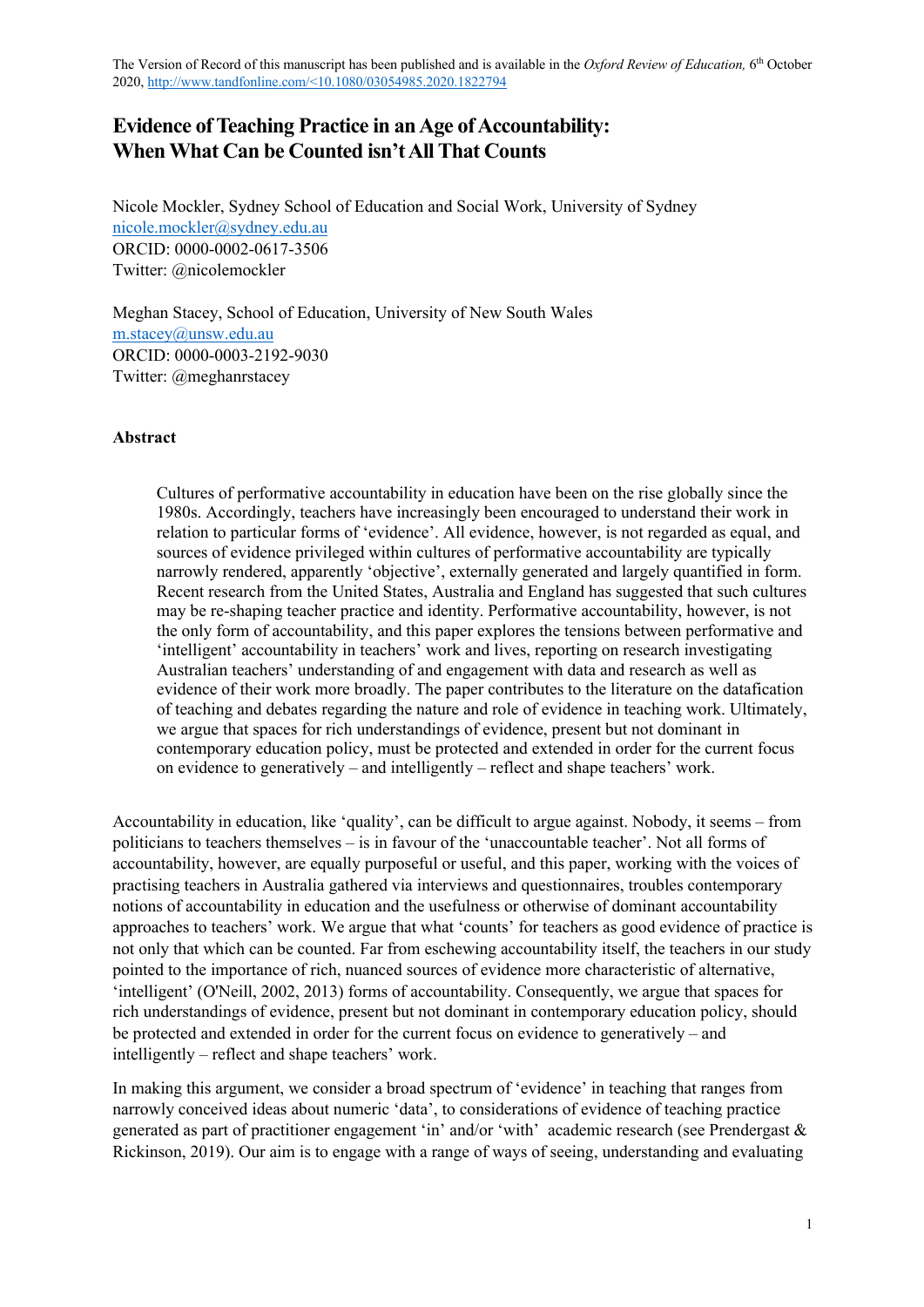# **Evidence of Teaching Practice in an Age of Accountability: When What Can be Counted isn't All That Counts**

Nicole Mockler, Sydney School of Education and Social Work, University of Sydney nicole.mockler@sydney.edu.au ORCID: 0000-0002-0617-3506 Twitter: @nicolemockler

Meghan Stacey, School of Education, University of New South Wales m.stacey@unsw.edu.au ORCID: 0000-0003-2192-9030 Twitter: @meghanrstacey

### **Abstract**

Cultures of performative accountability in education have been on the rise globally since the 1980s. Accordingly, teachers have increasingly been encouraged to understand their work in relation to particular forms of 'evidence'. All evidence, however, is not regarded as equal, and sources of evidence privileged within cultures of performative accountability are typically narrowly rendered, apparently 'objective', externally generated and largely quantified in form. Recent research from the United States, Australia and England has suggested that such cultures may be re-shaping teacher practice and identity. Performative accountability, however, is not the only form of accountability, and this paper explores the tensions between performative and 'intelligent' accountability in teachers' work and lives, reporting on research investigating Australian teachers' understanding of and engagement with data and research as well as evidence of their work more broadly. The paper contributes to the literature on the datafication of teaching and debates regarding the nature and role of evidence in teaching work. Ultimately, we argue that spaces for rich understandings of evidence, present but not dominant in contemporary education policy, must be protected and extended in order for the current focus on evidence to generatively – and intelligently – reflect and shape teachers' work.

Accountability in education, like 'quality', can be difficult to argue against. Nobody, it seems – from politicians to teachers themselves – is in favour of the 'unaccountable teacher'. Not all forms of accountability, however, are equally purposeful or useful, and this paper, working with the voices of practising teachers in Australia gathered via interviews and questionnaires, troubles contemporary notions of accountability in education and the usefulness or otherwise of dominant accountability approaches to teachers' work. We argue that what 'counts' for teachers as good evidence of practice is not only that which can be counted. Far from eschewing accountability itself, the teachers in our study pointed to the importance of rich, nuanced sources of evidence more characteristic of alternative, 'intelligent' (O'Neill, 2002, 2013) forms of accountability. Consequently, we argue that spaces for rich understandings of evidence, present but not dominant in contemporary education policy, should be protected and extended in order for the current focus on evidence to generatively – and intelligently – reflect and shape teachers' work.

In making this argument, we consider a broad spectrum of 'evidence' in teaching that ranges from narrowly conceived ideas about numeric 'data', to considerations of evidence of teaching practice generated as part of practitioner engagement 'in' and/or 'with' academic research (see Prendergast & Rickinson, 2019). Our aim is to engage with a range of ways of seeing, understanding and evaluating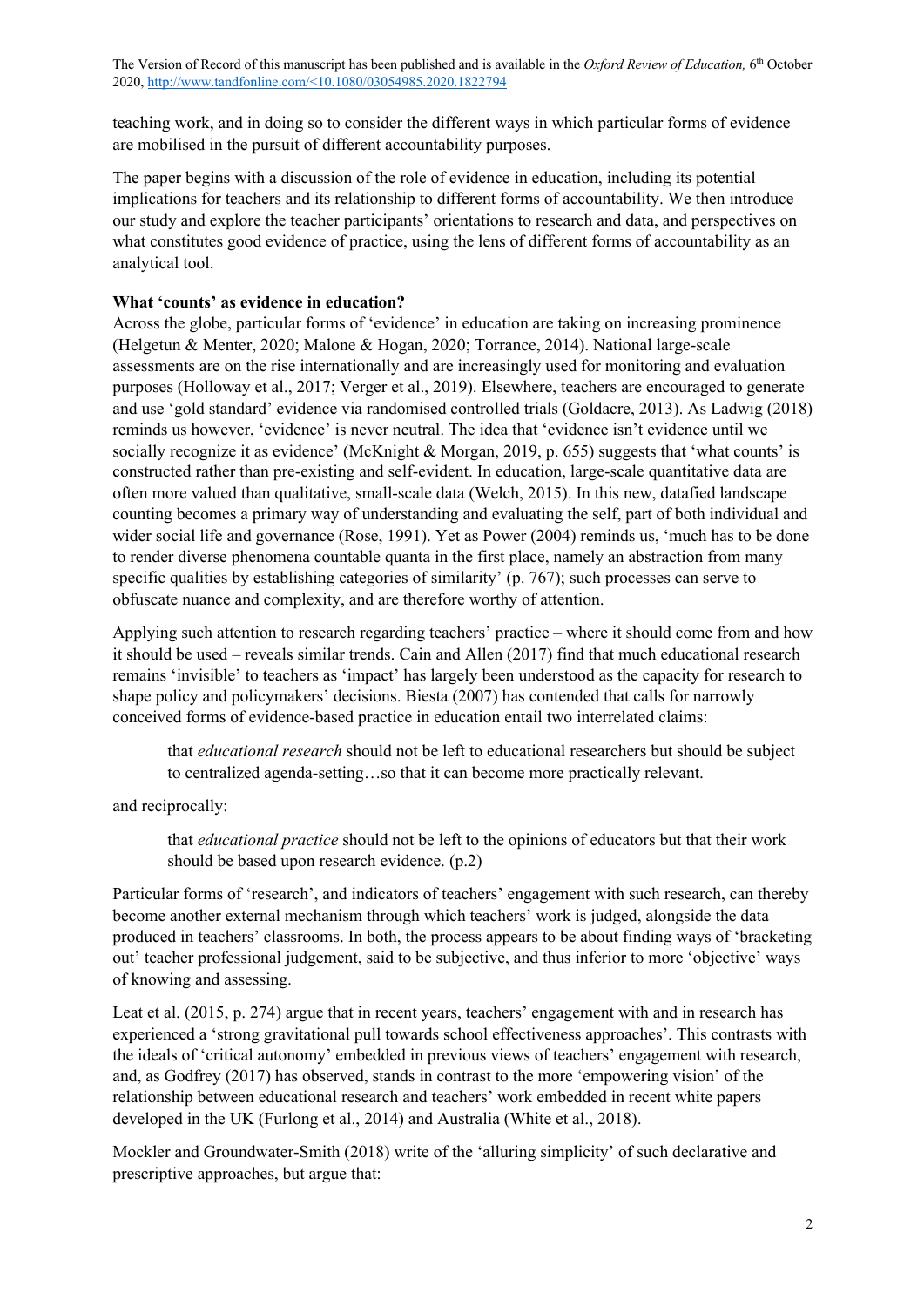teaching work, and in doing so to consider the different ways in which particular forms of evidence are mobilised in the pursuit of different accountability purposes.

The paper begins with a discussion of the role of evidence in education, including its potential implications for teachers and its relationship to different forms of accountability. We then introduce our study and explore the teacher participants' orientations to research and data, and perspectives on what constitutes good evidence of practice, using the lens of different forms of accountability as an analytical tool.

### **What 'counts' as evidence in education?**

Across the globe, particular forms of 'evidence' in education are taking on increasing prominence (Helgetun & Menter, 2020; Malone & Hogan, 2020; Torrance, 2014). National large-scale assessments are on the rise internationally and are increasingly used for monitoring and evaluation purposes (Holloway et al., 2017; Verger et al., 2019). Elsewhere, teachers are encouraged to generate and use 'gold standard' evidence via randomised controlled trials (Goldacre, 2013). As Ladwig (2018) reminds us however, 'evidence' is never neutral. The idea that 'evidence isn't evidence until we socially recognize it as evidence' (McKnight & Morgan, 2019, p. 655) suggests that 'what counts' is constructed rather than pre-existing and self-evident. In education, large-scale quantitative data are often more valued than qualitative, small-scale data (Welch, 2015). In this new, datafied landscape counting becomes a primary way of understanding and evaluating the self, part of both individual and wider social life and governance (Rose, 1991). Yet as Power (2004) reminds us, 'much has to be done to render diverse phenomena countable quanta in the first place, namely an abstraction from many specific qualities by establishing categories of similarity' (p. 767); such processes can serve to obfuscate nuance and complexity, and are therefore worthy of attention.

Applying such attention to research regarding teachers' practice – where it should come from and how it should be used – reveals similar trends. Cain and Allen (2017) find that much educational research remains 'invisible' to teachers as 'impact' has largely been understood as the capacity for research to shape policy and policymakers' decisions. Biesta (2007) has contended that calls for narrowly conceived forms of evidence-based practice in education entail two interrelated claims:

that *educational research* should not be left to educational researchers but should be subject to centralized agenda-setting…so that it can become more practically relevant.

and reciprocally:

that *educational practice* should not be left to the opinions of educators but that their work should be based upon research evidence. (p.2)

Particular forms of 'research', and indicators of teachers' engagement with such research, can thereby become another external mechanism through which teachers' work is judged, alongside the data produced in teachers' classrooms. In both, the process appears to be about finding ways of 'bracketing out' teacher professional judgement, said to be subjective, and thus inferior to more 'objective' ways of knowing and assessing.

Leat et al. (2015, p. 274) argue that in recent years, teachers' engagement with and in research has experienced a 'strong gravitational pull towards school effectiveness approaches'. This contrasts with the ideals of 'critical autonomy' embedded in previous views of teachers' engagement with research, and, as Godfrey (2017) has observed, stands in contrast to the more 'empowering vision' of the relationship between educational research and teachers' work embedded in recent white papers developed in the UK (Furlong et al., 2014) and Australia (White et al., 2018).

Mockler and Groundwater-Smith (2018) write of the 'alluring simplicity' of such declarative and prescriptive approaches, but argue that: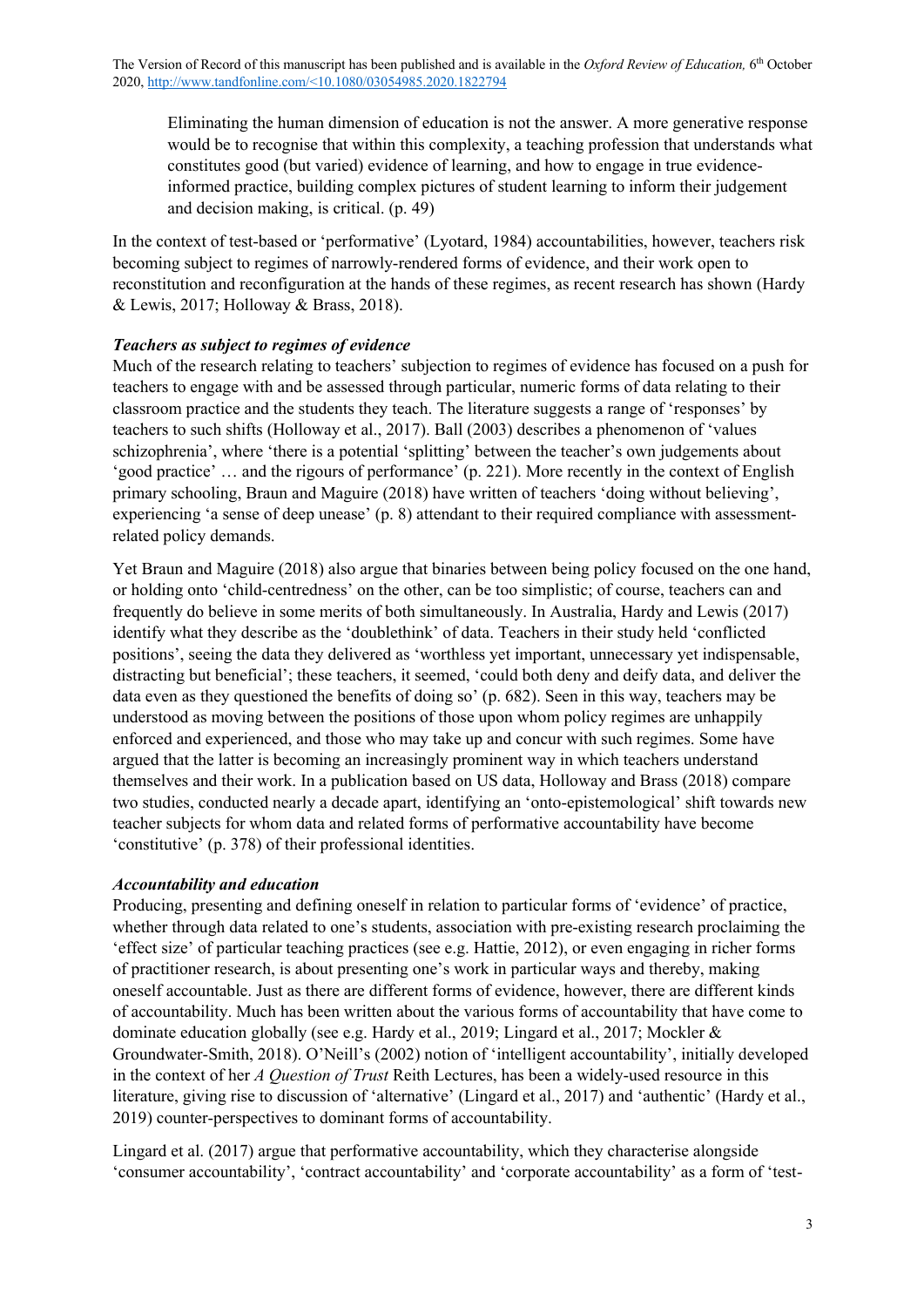Eliminating the human dimension of education is not the answer. A more generative response would be to recognise that within this complexity, a teaching profession that understands what constitutes good (but varied) evidence of learning, and how to engage in true evidenceinformed practice, building complex pictures of student learning to inform their judgement and decision making, is critical. (p. 49)

In the context of test-based or 'performative' (Lyotard, 1984) accountabilities, however, teachers risk becoming subject to regimes of narrowly-rendered forms of evidence, and their work open to reconstitution and reconfiguration at the hands of these regimes, as recent research has shown (Hardy & Lewis, 2017; Holloway & Brass, 2018).

# *Teachers as subject to regimes of evidence*

Much of the research relating to teachers' subjection to regimes of evidence has focused on a push for teachers to engage with and be assessed through particular, numeric forms of data relating to their classroom practice and the students they teach. The literature suggests a range of 'responses' by teachers to such shifts (Holloway et al., 2017). Ball (2003) describes a phenomenon of 'values schizophrenia', where 'there is a potential 'splitting' between the teacher's own judgements about 'good practice' … and the rigours of performance' (p. 221). More recently in the context of English primary schooling, Braun and Maguire (2018) have written of teachers 'doing without believing', experiencing 'a sense of deep unease' (p. 8) attendant to their required compliance with assessmentrelated policy demands.

Yet Braun and Maguire (2018) also argue that binaries between being policy focused on the one hand, or holding onto 'child-centredness' on the other, can be too simplistic; of course, teachers can and frequently do believe in some merits of both simultaneously. In Australia, Hardy and Lewis (2017) identify what they describe as the 'doublethink' of data. Teachers in their study held 'conflicted positions', seeing the data they delivered as 'worthless yet important, unnecessary yet indispensable, distracting but beneficial'; these teachers, it seemed, 'could both deny and deify data, and deliver the data even as they questioned the benefits of doing so' (p. 682). Seen in this way, teachers may be understood as moving between the positions of those upon whom policy regimes are unhappily enforced and experienced, and those who may take up and concur with such regimes. Some have argued that the latter is becoming an increasingly prominent way in which teachers understand themselves and their work. In a publication based on US data, Holloway and Brass (2018) compare two studies, conducted nearly a decade apart, identifying an 'onto-epistemological' shift towards new teacher subjects for whom data and related forms of performative accountability have become 'constitutive' (p. 378) of their professional identities.

# *Accountability and education*

Producing, presenting and defining oneself in relation to particular forms of 'evidence' of practice, whether through data related to one's students, association with pre-existing research proclaiming the 'effect size' of particular teaching practices (see e.g. Hattie, 2012), or even engaging in richer forms of practitioner research, is about presenting one's work in particular ways and thereby, making oneself accountable. Just as there are different forms of evidence, however, there are different kinds of accountability. Much has been written about the various forms of accountability that have come to dominate education globally (see e.g. Hardy et al., 2019; Lingard et al., 2017; Mockler & Groundwater-Smith, 2018). O'Neill's (2002) notion of 'intelligent accountability', initially developed in the context of her *A Question of Trust* Reith Lectures, has been a widely-used resource in this literature, giving rise to discussion of 'alternative' (Lingard et al., 2017) and 'authentic' (Hardy et al., 2019) counter-perspectives to dominant forms of accountability.

Lingard et al. (2017) argue that performative accountability, which they characterise alongside 'consumer accountability', 'contract accountability' and 'corporate accountability' as a form of 'test-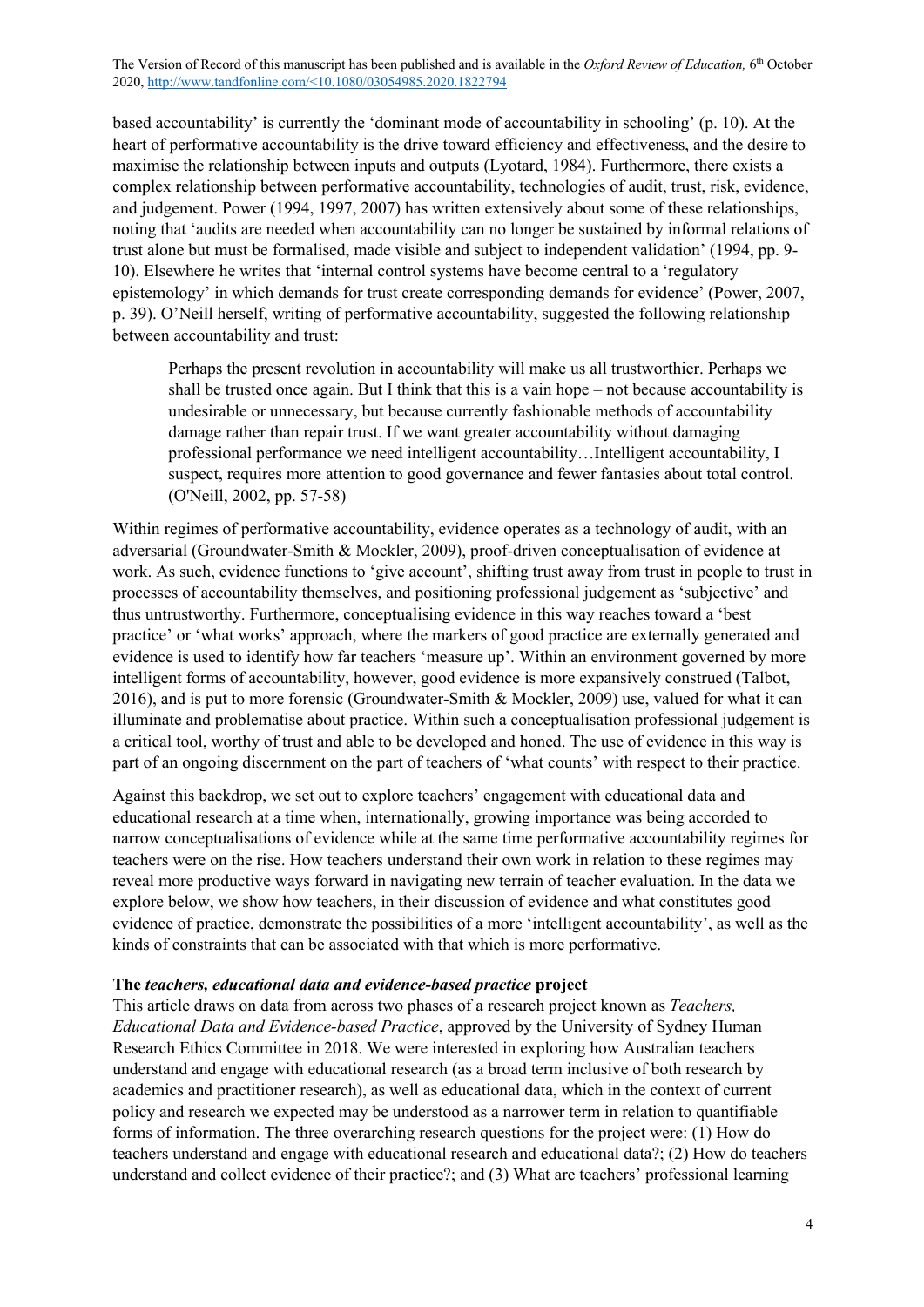based accountability' is currently the 'dominant mode of accountability in schooling' (p. 10). At the heart of performative accountability is the drive toward efficiency and effectiveness, and the desire to maximise the relationship between inputs and outputs (Lyotard, 1984). Furthermore, there exists a complex relationship between performative accountability, technologies of audit, trust, risk, evidence, and judgement. Power (1994, 1997, 2007) has written extensively about some of these relationships, noting that 'audits are needed when accountability can no longer be sustained by informal relations of trust alone but must be formalised, made visible and subject to independent validation' (1994, pp. 9- 10). Elsewhere he writes that 'internal control systems have become central to a 'regulatory epistemology' in which demands for trust create corresponding demands for evidence' (Power, 2007, p. 39). O'Neill herself, writing of performative accountability, suggested the following relationship between accountability and trust:

Perhaps the present revolution in accountability will make us all trustworthier. Perhaps we shall be trusted once again. But I think that this is a vain hope – not because accountability is undesirable or unnecessary, but because currently fashionable methods of accountability damage rather than repair trust. If we want greater accountability without damaging professional performance we need intelligent accountability…Intelligent accountability, I suspect, requires more attention to good governance and fewer fantasies about total control. (O'Neill, 2002, pp. 57-58)

Within regimes of performative accountability, evidence operates as a technology of audit, with an adversarial (Groundwater-Smith & Mockler, 2009), proof-driven conceptualisation of evidence at work. As such, evidence functions to 'give account', shifting trust away from trust in people to trust in processes of accountability themselves, and positioning professional judgement as 'subjective' and thus untrustworthy. Furthermore, conceptualising evidence in this way reaches toward a 'best practice' or 'what works' approach, where the markers of good practice are externally generated and evidence is used to identify how far teachers 'measure up'. Within an environment governed by more intelligent forms of accountability, however, good evidence is more expansively construed (Talbot, 2016), and is put to more forensic (Groundwater-Smith & Mockler, 2009) use, valued for what it can illuminate and problematise about practice. Within such a conceptualisation professional judgement is a critical tool, worthy of trust and able to be developed and honed. The use of evidence in this way is part of an ongoing discernment on the part of teachers of 'what counts' with respect to their practice.

Against this backdrop, we set out to explore teachers' engagement with educational data and educational research at a time when, internationally, growing importance was being accorded to narrow conceptualisations of evidence while at the same time performative accountability regimes for teachers were on the rise. How teachers understand their own work in relation to these regimes may reveal more productive ways forward in navigating new terrain of teacher evaluation. In the data we explore below, we show how teachers, in their discussion of evidence and what constitutes good evidence of practice, demonstrate the possibilities of a more 'intelligent accountability', as well as the kinds of constraints that can be associated with that which is more performative.

#### **The** *teachers, educational data and evidence-based practice* **project**

This article draws on data from across two phases of a research project known as *Teachers, Educational Data and Evidence-based Practice*, approved by the University of Sydney Human Research Ethics Committee in 2018. We were interested in exploring how Australian teachers understand and engage with educational research (as a broad term inclusive of both research by academics and practitioner research), as well as educational data, which in the context of current policy and research we expected may be understood as a narrower term in relation to quantifiable forms of information. The three overarching research questions for the project were: (1) How do teachers understand and engage with educational research and educational data?; (2) How do teachers understand and collect evidence of their practice?; and (3) What are teachers' professional learning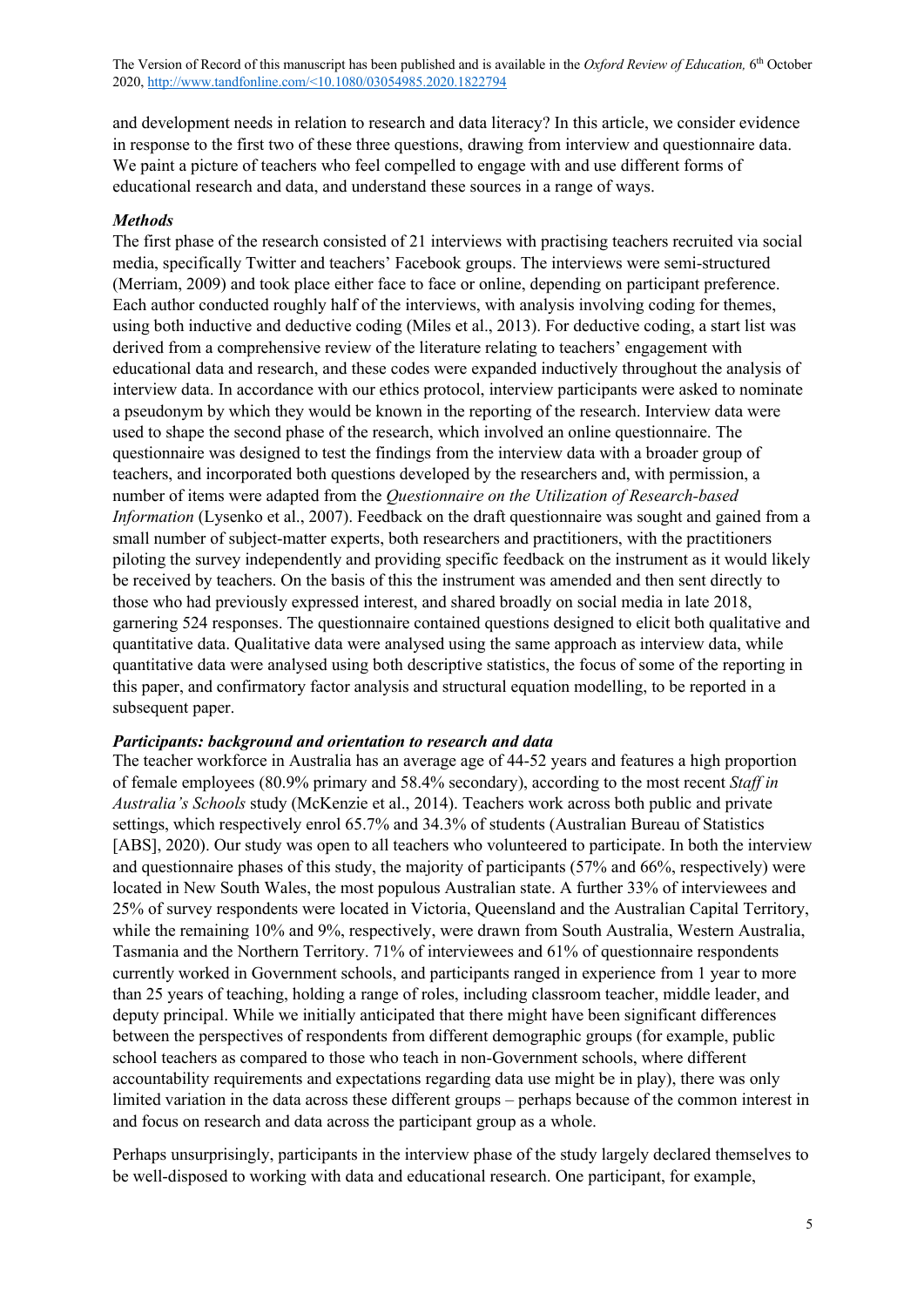and development needs in relation to research and data literacy? In this article, we consider evidence in response to the first two of these three questions, drawing from interview and questionnaire data. We paint a picture of teachers who feel compelled to engage with and use different forms of educational research and data, and understand these sources in a range of ways.

#### *Methods*

The first phase of the research consisted of 21 interviews with practising teachers recruited via social media, specifically Twitter and teachers' Facebook groups. The interviews were semi-structured (Merriam, 2009) and took place either face to face or online, depending on participant preference. Each author conducted roughly half of the interviews, with analysis involving coding for themes, using both inductive and deductive coding (Miles et al., 2013). For deductive coding, a start list was derived from a comprehensive review of the literature relating to teachers' engagement with educational data and research, and these codes were expanded inductively throughout the analysis of interview data. In accordance with our ethics protocol, interview participants were asked to nominate a pseudonym by which they would be known in the reporting of the research. Interview data were used to shape the second phase of the research, which involved an online questionnaire. The questionnaire was designed to test the findings from the interview data with a broader group of teachers, and incorporated both questions developed by the researchers and, with permission, a number of items were adapted from the *Questionnaire on the Utilization of Research-based Information* (Lysenko et al., 2007). Feedback on the draft questionnaire was sought and gained from a small number of subject-matter experts, both researchers and practitioners, with the practitioners piloting the survey independently and providing specific feedback on the instrument as it would likely be received by teachers. On the basis of this the instrument was amended and then sent directly to those who had previously expressed interest, and shared broadly on social media in late 2018, garnering 524 responses. The questionnaire contained questions designed to elicit both qualitative and quantitative data. Qualitative data were analysed using the same approach as interview data, while quantitative data were analysed using both descriptive statistics, the focus of some of the reporting in this paper, and confirmatory factor analysis and structural equation modelling, to be reported in a subsequent paper.

#### *Participants: background and orientation to research and data*

The teacher workforce in Australia has an average age of 44-52 years and features a high proportion of female employees (80.9% primary and 58.4% secondary), according to the most recent *Staff in Australia's Schools* study (McKenzie et al., 2014). Teachers work across both public and private settings, which respectively enrol 65.7% and 34.3% of students (Australian Bureau of Statistics [ABS], 2020). Our study was open to all teachers who volunteered to participate. In both the interview and questionnaire phases of this study, the majority of participants (57% and 66%, respectively) were located in New South Wales, the most populous Australian state. A further 33% of interviewees and 25% of survey respondents were located in Victoria, Queensland and the Australian Capital Territory, while the remaining 10% and 9%, respectively, were drawn from South Australia, Western Australia, Tasmania and the Northern Territory. 71% of interviewees and 61% of questionnaire respondents currently worked in Government schools, and participants ranged in experience from 1 year to more than 25 years of teaching, holding a range of roles, including classroom teacher, middle leader, and deputy principal. While we initially anticipated that there might have been significant differences between the perspectives of respondents from different demographic groups (for example, public school teachers as compared to those who teach in non-Government schools, where different accountability requirements and expectations regarding data use might be in play), there was only limited variation in the data across these different groups – perhaps because of the common interest in and focus on research and data across the participant group as a whole.

Perhaps unsurprisingly, participants in the interview phase of the study largely declared themselves to be well-disposed to working with data and educational research. One participant, for example,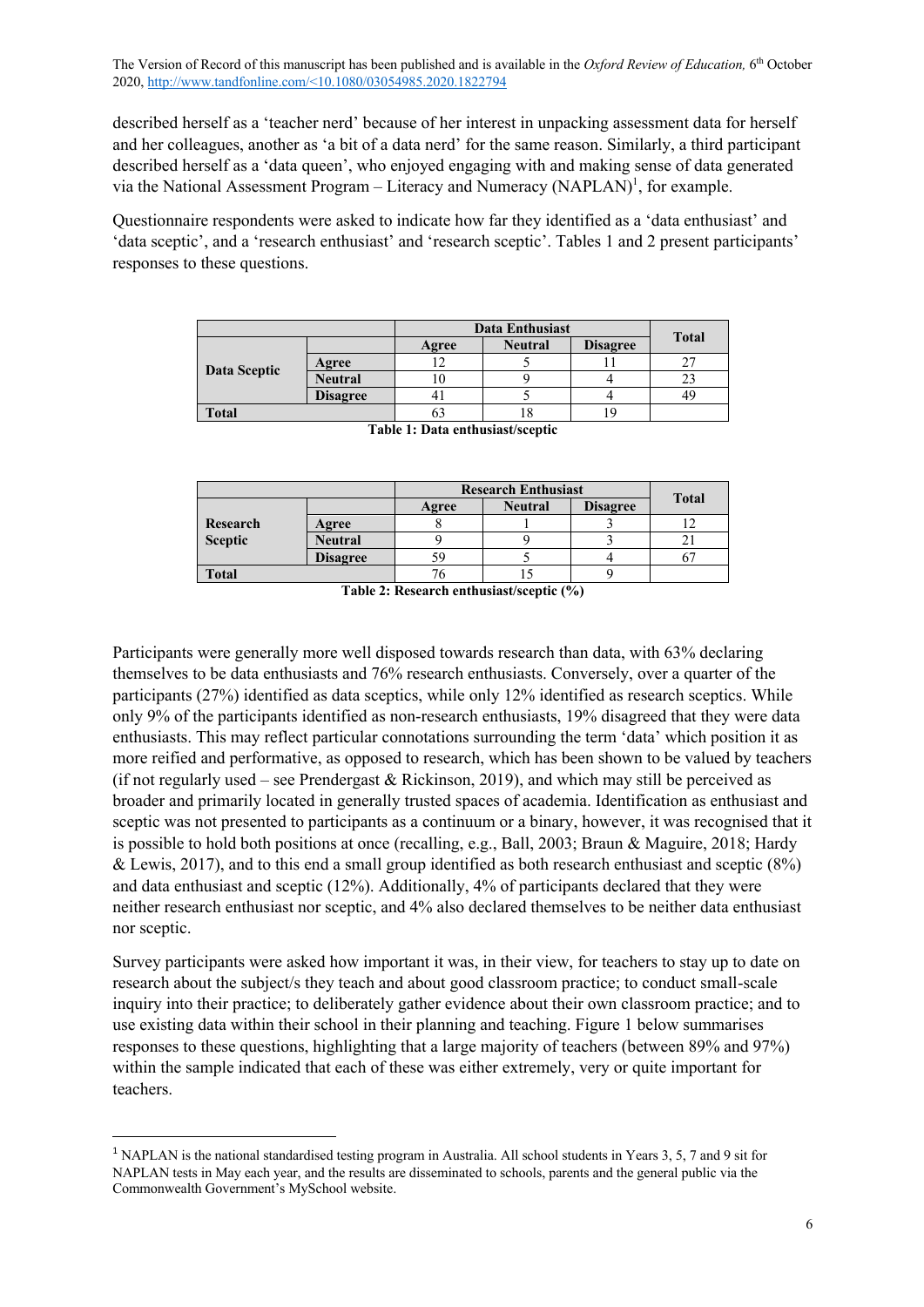described herself as a 'teacher nerd' because of her interest in unpacking assessment data for herself and her colleagues, another as 'a bit of a data nerd' for the same reason. Similarly, a third participant described herself as a 'data queen', who enjoyed engaging with and making sense of data generated via the National Assessment Program – Literacy and Numeracy  $(NAPLAN)^1$ , for example.

Questionnaire respondents were asked to indicate how far they identified as a 'data enthusiast' and 'data sceptic', and a 'research enthusiast' and 'research sceptic'. Tables 1 and 2 present participants' responses to these questions.

|              |                 | <b>Data Enthusiast</b> |                |                 | <b>Total</b> |
|--------------|-----------------|------------------------|----------------|-----------------|--------------|
| Data Sceptic |                 | Agree                  | <b>Neutral</b> | <b>Disagree</b> |              |
|              | Agree           |                        |                |                 |              |
|              | <b>Neutral</b>  | ΙU                     |                |                 |              |
|              | <b>Disagree</b> |                        |                |                 |              |
| <b>Total</b> |                 | OJ                     | ıο             | ١ç              |              |

|                     |                 | <b>Research Enthusiast</b> |                |                 | <b>Total</b> |
|---------------------|-----------------|----------------------------|----------------|-----------------|--------------|
| Research<br>Sceptic |                 | Agree                      | <b>Neutral</b> | <b>Disagree</b> |              |
|                     | Agree           |                            |                |                 |              |
|                     | <b>Neutral</b>  |                            |                |                 |              |
|                     | <b>Disagree</b> | 59                         |                |                 |              |
| <b>Total</b>        |                 |                            |                |                 |              |

**Table 1: Data enthusiast/sceptic**

**Table 2: Research enthusiast/sceptic (%)**

Participants were generally more well disposed towards research than data, with 63% declaring themselves to be data enthusiasts and 76% research enthusiasts. Conversely, over a quarter of the participants (27%) identified as data sceptics, while only 12% identified as research sceptics. While only 9% of the participants identified as non-research enthusiasts, 19% disagreed that they were data enthusiasts. This may reflect particular connotations surrounding the term 'data' which position it as more reified and performative, as opposed to research, which has been shown to be valued by teachers (if not regularly used – see Prendergast & Rickinson, 2019), and which may still be perceived as broader and primarily located in generally trusted spaces of academia. Identification as enthusiast and sceptic was not presented to participants as a continuum or a binary, however, it was recognised that it is possible to hold both positions at once (recalling, e.g., Ball, 2003; Braun & Maguire, 2018; Hardy & Lewis, 2017), and to this end a small group identified as both research enthusiast and sceptic (8%) and data enthusiast and sceptic (12%). Additionally, 4% of participants declared that they were neither research enthusiast nor sceptic, and 4% also declared themselves to be neither data enthusiast nor sceptic.

Survey participants were asked how important it was, in their view, for teachers to stay up to date on research about the subject/s they teach and about good classroom practice; to conduct small-scale inquiry into their practice; to deliberately gather evidence about their own classroom practice; and to use existing data within their school in their planning and teaching. Figure 1 below summarises responses to these questions, highlighting that a large majority of teachers (between 89% and 97%) within the sample indicated that each of these was either extremely, very or quite important for teachers.

<sup>&</sup>lt;sup>1</sup> NAPLAN is the national standardised testing program in Australia. All school students in Years 3, 5, 7 and 9 sit for NAPLAN tests in May each year, and the results are disseminated to schools, parents and the general public via the Commonwealth Government's MySchool website.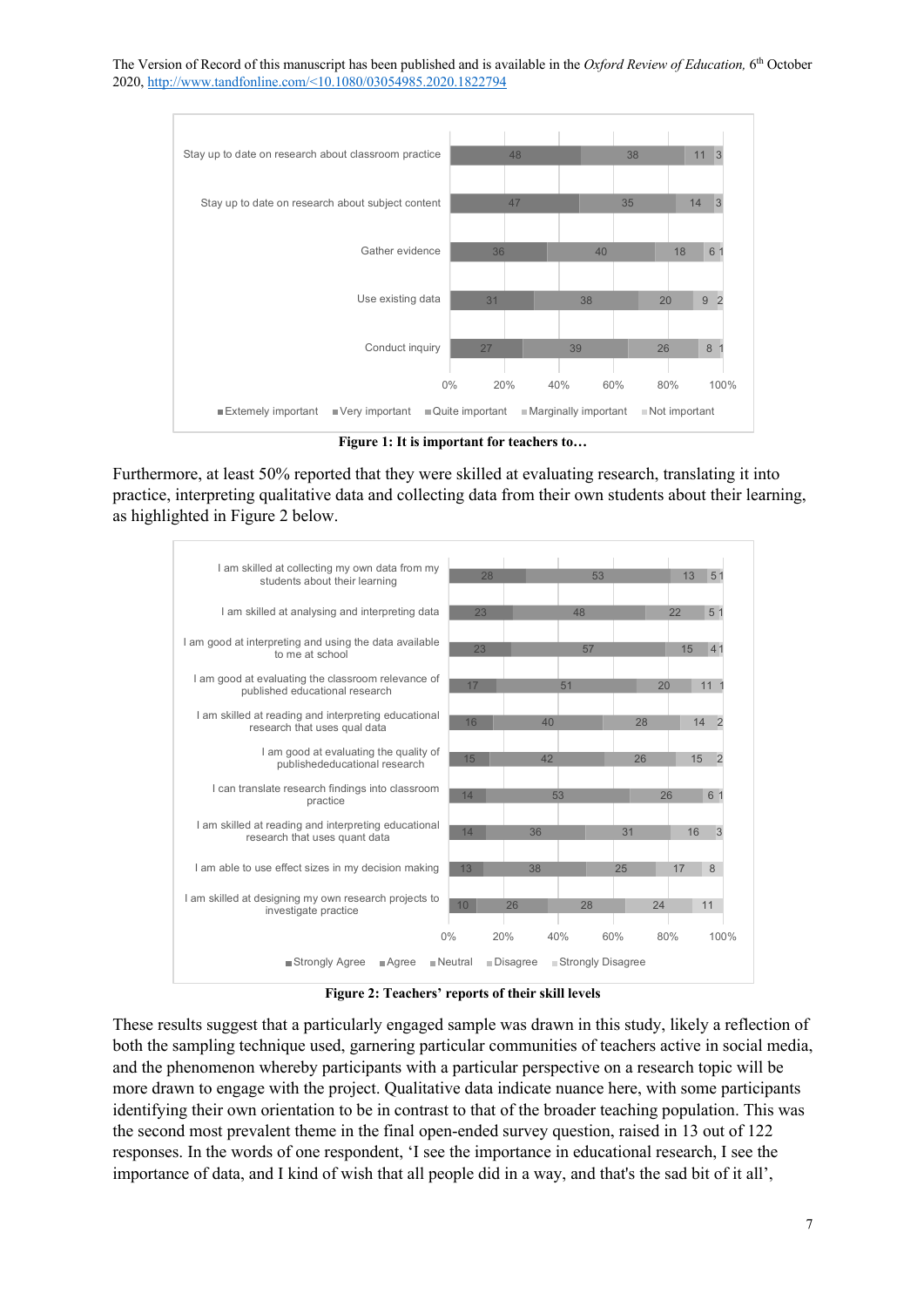

**Figure 1: It is important for teachers to…**

Furthermore, at least 50% reported that they were skilled at evaluating research, translating it into practice, interpreting qualitative data and collecting data from their own students about their learning, as highlighted in Figure 2 below.



**Figure 2: Teachers' reports of their skill levels**

These results suggest that a particularly engaged sample was drawn in this study, likely a reflection of both the sampling technique used, garnering particular communities of teachers active in social media, and the phenomenon whereby participants with a particular perspective on a research topic will be more drawn to engage with the project. Qualitative data indicate nuance here, with some participants identifying their own orientation to be in contrast to that of the broader teaching population. This was the second most prevalent theme in the final open-ended survey question, raised in 13 out of 122 responses. In the words of one respondent, 'I see the importance in educational research, I see the importance of data, and I kind of wish that all people did in a way, and that's the sad bit of it all',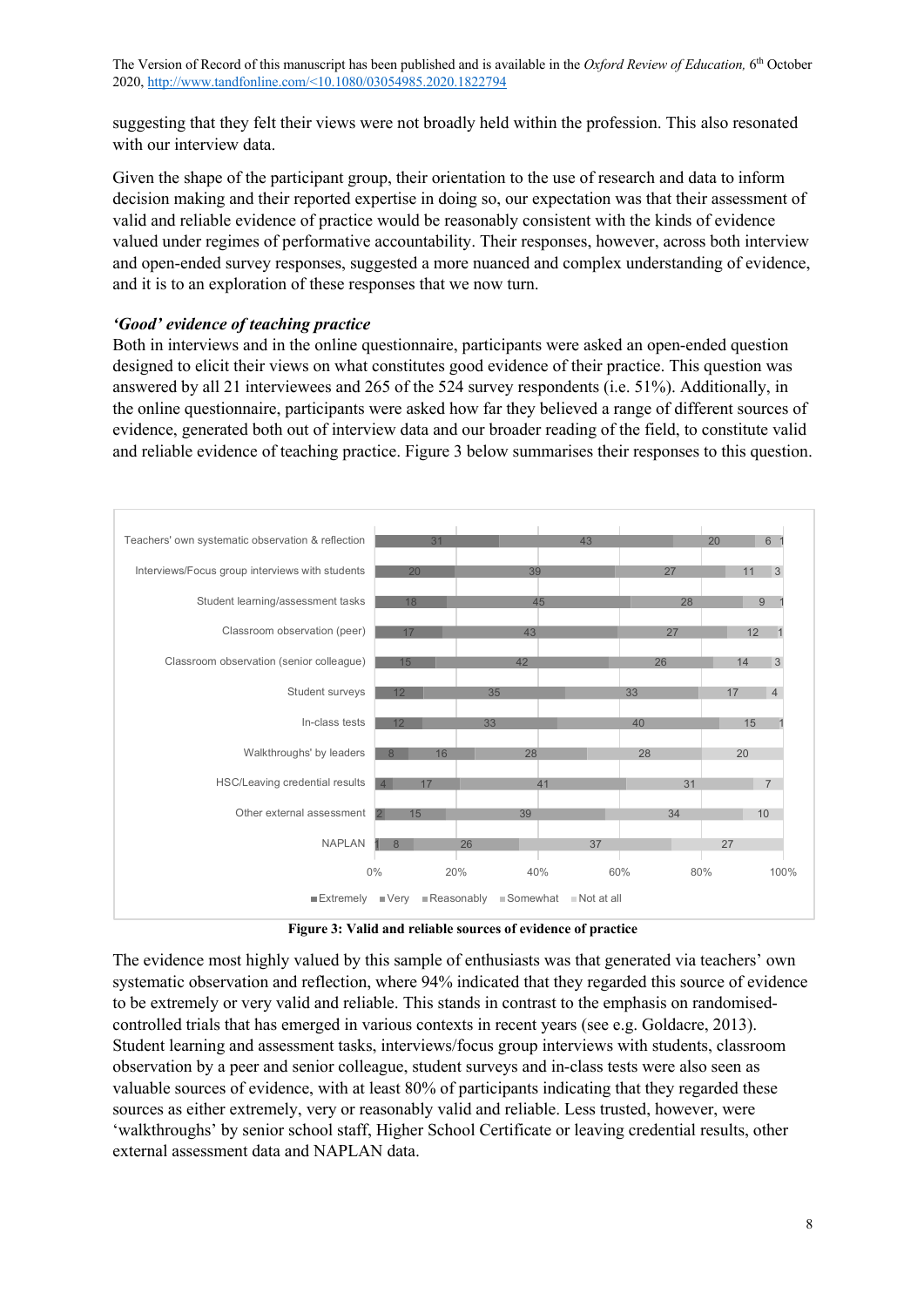suggesting that they felt their views were not broadly held within the profession. This also resonated with our interview data.

Given the shape of the participant group, their orientation to the use of research and data to inform decision making and their reported expertise in doing so, our expectation was that their assessment of valid and reliable evidence of practice would be reasonably consistent with the kinds of evidence valued under regimes of performative accountability. Their responses, however, across both interview and open-ended survey responses, suggested a more nuanced and complex understanding of evidence, and it is to an exploration of these responses that we now turn.

#### *'Good' evidence of teaching practice*

Both in interviews and in the online questionnaire, participants were asked an open-ended question designed to elicit their views on what constitutes good evidence of their practice. This question was answered by all 21 interviewees and 265 of the 524 survey respondents (i.e. 51%). Additionally, in the online questionnaire, participants were asked how far they believed a range of different sources of evidence, generated both out of interview data and our broader reading of the field, to constitute valid and reliable evidence of teaching practice. Figure 3 below summarises their responses to this question.



**Figure 3: Valid and reliable sources of evidence of practice**

The evidence most highly valued by this sample of enthusiasts was that generated via teachers' own systematic observation and reflection, where 94% indicated that they regarded this source of evidence to be extremely or very valid and reliable. This stands in contrast to the emphasis on randomisedcontrolled trials that has emerged in various contexts in recent years (see e.g. Goldacre, 2013). Student learning and assessment tasks, interviews/focus group interviews with students, classroom observation by a peer and senior colleague, student surveys and in-class tests were also seen as valuable sources of evidence, with at least 80% of participants indicating that they regarded these sources as either extremely, very or reasonably valid and reliable. Less trusted, however, were 'walkthroughs' by senior school staff, Higher School Certificate or leaving credential results, other external assessment data and NAPLAN data.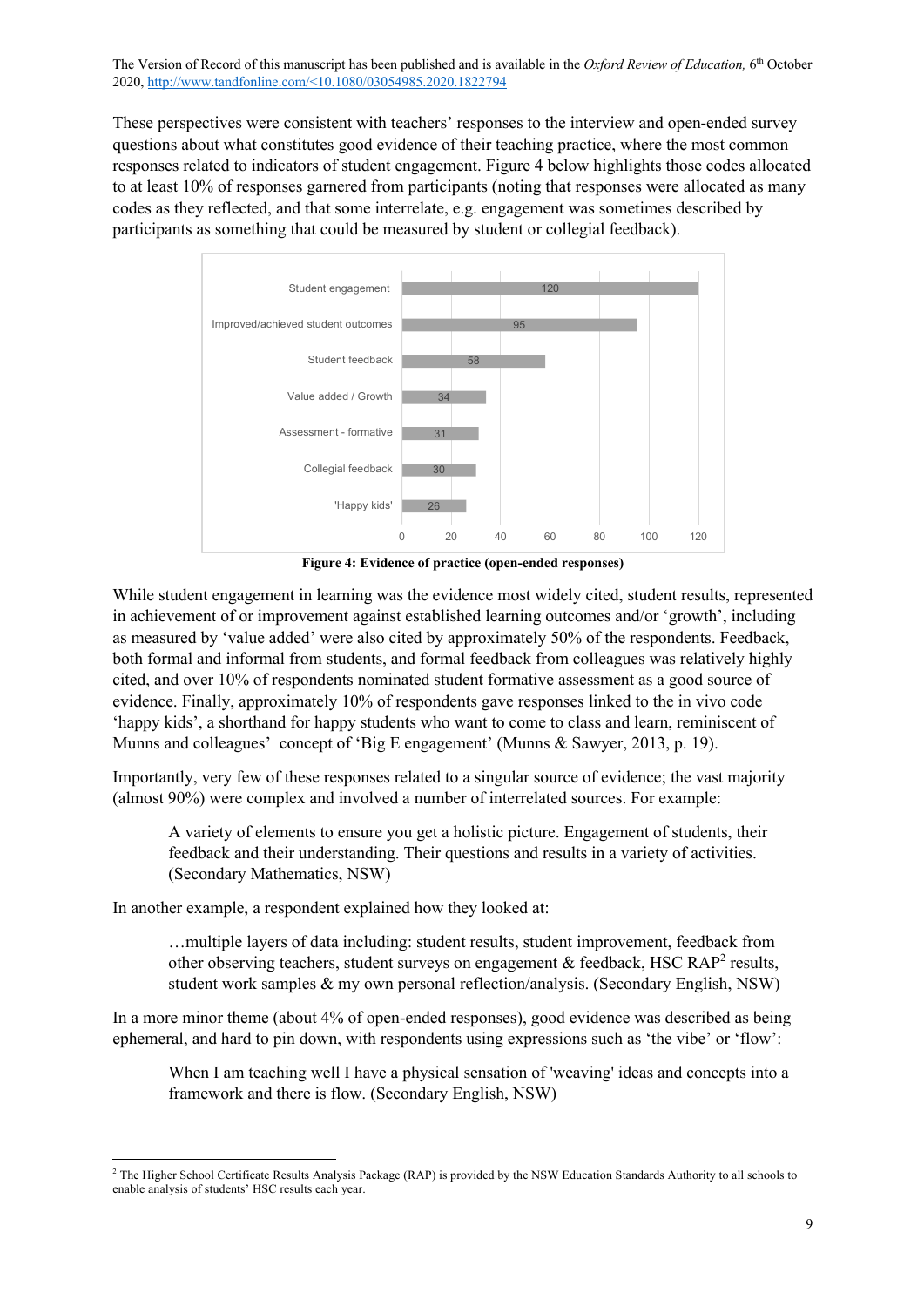These perspectives were consistent with teachers' responses to the interview and open-ended survey questions about what constitutes good evidence of their teaching practice, where the most common responses related to indicators of student engagement. Figure 4 below highlights those codes allocated to at least 10% of responses garnered from participants (noting that responses were allocated as many codes as they reflected, and that some interrelate, e.g. engagement was sometimes described by participants as something that could be measured by student or collegial feedback).



**Figure 4: Evidence of practice (open-ended responses)**

While student engagement in learning was the evidence most widely cited, student results, represented in achievement of or improvement against established learning outcomes and/or 'growth', including as measured by 'value added' were also cited by approximately 50% of the respondents. Feedback, both formal and informal from students, and formal feedback from colleagues was relatively highly cited, and over 10% of respondents nominated student formative assessment as a good source of evidence. Finally, approximately 10% of respondents gave responses linked to the in vivo code 'happy kids', a shorthand for happy students who want to come to class and learn, reminiscent of Munns and colleagues' concept of 'Big E engagement' (Munns & Sawyer, 2013, p. 19).

Importantly, very few of these responses related to a singular source of evidence; the vast majority (almost 90%) were complex and involved a number of interrelated sources. For example:

A variety of elements to ensure you get a holistic picture. Engagement of students, their feedback and their understanding. Their questions and results in a variety of activities. (Secondary Mathematics, NSW)

In another example, a respondent explained how they looked at:

…multiple layers of data including: student results, student improvement, feedback from other observing teachers, student surveys on engagement  $\&$  feedback, HSC RAP<sup>2</sup> results, student work samples & my own personal reflection/analysis. (Secondary English, NSW)

In a more minor theme (about 4% of open-ended responses), good evidence was described as being ephemeral, and hard to pin down, with respondents using expressions such as 'the vibe' or 'flow':

When I am teaching well I have a physical sensation of 'weaving' ideas and concepts into a framework and there is flow. (Secondary English, NSW)

<sup>&</sup>lt;sup>2</sup> The Higher School Certificate Results Analysis Package (RAP) is provided by the NSW Education Standards Authority to all schools to enable analysis of students' HSC results each year.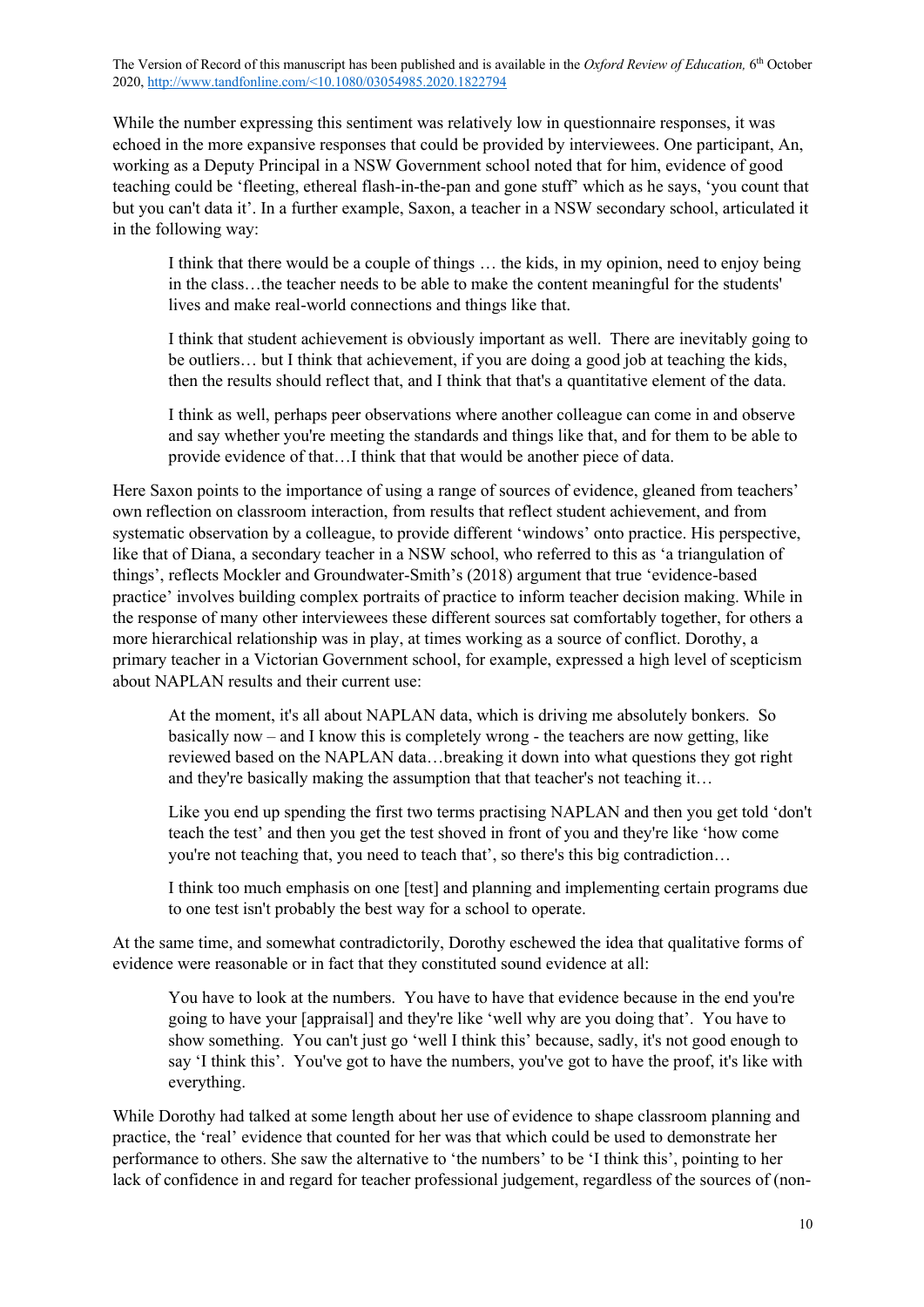While the number expressing this sentiment was relatively low in questionnaire responses, it was echoed in the more expansive responses that could be provided by interviewees. One participant, An, working as a Deputy Principal in a NSW Government school noted that for him, evidence of good teaching could be 'fleeting, ethereal flash-in-the-pan and gone stuff' which as he says, 'you count that but you can't data it'. In a further example, Saxon, a teacher in a NSW secondary school, articulated it in the following way:

I think that there would be a couple of things … the kids, in my opinion, need to enjoy being in the class…the teacher needs to be able to make the content meaningful for the students' lives and make real-world connections and things like that.

I think that student achievement is obviously important as well. There are inevitably going to be outliers… but I think that achievement, if you are doing a good job at teaching the kids, then the results should reflect that, and I think that that's a quantitative element of the data.

I think as well, perhaps peer observations where another colleague can come in and observe and say whether you're meeting the standards and things like that, and for them to be able to provide evidence of that…I think that that would be another piece of data.

Here Saxon points to the importance of using a range of sources of evidence, gleaned from teachers' own reflection on classroom interaction, from results that reflect student achievement, and from systematic observation by a colleague, to provide different 'windows' onto practice. His perspective, like that of Diana, a secondary teacher in a NSW school, who referred to this as 'a triangulation of things', reflects Mockler and Groundwater-Smith's (2018) argument that true 'evidence-based practice' involves building complex portraits of practice to inform teacher decision making. While in the response of many other interviewees these different sources sat comfortably together, for others a more hierarchical relationship was in play, at times working as a source of conflict. Dorothy, a primary teacher in a Victorian Government school, for example, expressed a high level of scepticism about NAPLAN results and their current use:

At the moment, it's all about NAPLAN data, which is driving me absolutely bonkers. So basically now – and I know this is completely wrong - the teachers are now getting, like reviewed based on the NAPLAN data…breaking it down into what questions they got right and they're basically making the assumption that that teacher's not teaching it…

Like you end up spending the first two terms practising NAPLAN and then you get told 'don't teach the test' and then you get the test shoved in front of you and they're like 'how come you're not teaching that, you need to teach that', so there's this big contradiction…

I think too much emphasis on one [test] and planning and implementing certain programs due to one test isn't probably the best way for a school to operate.

At the same time, and somewhat contradictorily, Dorothy eschewed the idea that qualitative forms of evidence were reasonable or in fact that they constituted sound evidence at all:

You have to look at the numbers. You have to have that evidence because in the end you're going to have your [appraisal] and they're like 'well why are you doing that'. You have to show something. You can't just go 'well I think this' because, sadly, it's not good enough to say 'I think this'. You've got to have the numbers, you've got to have the proof, it's like with everything.

While Dorothy had talked at some length about her use of evidence to shape classroom planning and practice, the 'real' evidence that counted for her was that which could be used to demonstrate her performance to others. She saw the alternative to 'the numbers' to be 'I think this', pointing to her lack of confidence in and regard for teacher professional judgement, regardless of the sources of (non-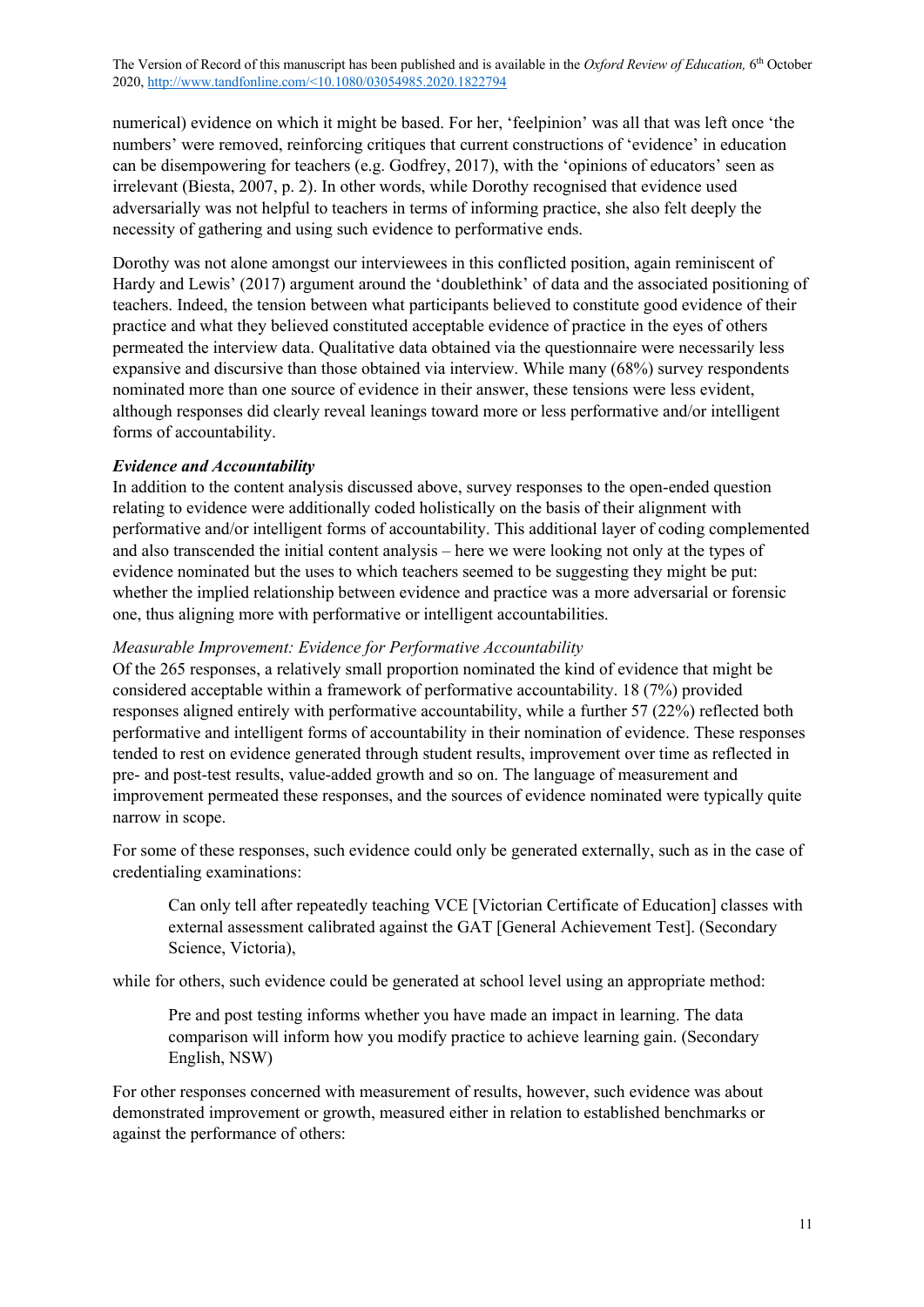numerical) evidence on which it might be based. For her, 'feelpinion' was all that was left once 'the numbers' were removed, reinforcing critiques that current constructions of 'evidence' in education can be disempowering for teachers (e.g. Godfrey, 2017), with the 'opinions of educators' seen as irrelevant (Biesta, 2007, p. 2). In other words, while Dorothy recognised that evidence used adversarially was not helpful to teachers in terms of informing practice, she also felt deeply the necessity of gathering and using such evidence to performative ends.

Dorothy was not alone amongst our interviewees in this conflicted position, again reminiscent of Hardy and Lewis' (2017) argument around the 'doublethink' of data and the associated positioning of teachers. Indeed, the tension between what participants believed to constitute good evidence of their practice and what they believed constituted acceptable evidence of practice in the eyes of others permeated the interview data. Qualitative data obtained via the questionnaire were necessarily less expansive and discursive than those obtained via interview. While many (68%) survey respondents nominated more than one source of evidence in their answer, these tensions were less evident, although responses did clearly reveal leanings toward more or less performative and/or intelligent forms of accountability.

### *Evidence and Accountability*

In addition to the content analysis discussed above, survey responses to the open-ended question relating to evidence were additionally coded holistically on the basis of their alignment with performative and/or intelligent forms of accountability. This additional layer of coding complemented and also transcended the initial content analysis – here we were looking not only at the types of evidence nominated but the uses to which teachers seemed to be suggesting they might be put: whether the implied relationship between evidence and practice was a more adversarial or forensic one, thus aligning more with performative or intelligent accountabilities.

## *Measurable Improvement: Evidence for Performative Accountability*

Of the 265 responses, a relatively small proportion nominated the kind of evidence that might be considered acceptable within a framework of performative accountability. 18 (7%) provided responses aligned entirely with performative accountability, while a further 57 (22%) reflected both performative and intelligent forms of accountability in their nomination of evidence. These responses tended to rest on evidence generated through student results, improvement over time as reflected in pre- and post-test results, value-added growth and so on. The language of measurement and improvement permeated these responses, and the sources of evidence nominated were typically quite narrow in scope.

For some of these responses, such evidence could only be generated externally, such as in the case of credentialing examinations:

Can only tell after repeatedly teaching VCE [Victorian Certificate of Education] classes with external assessment calibrated against the GAT [General Achievement Test]. (Secondary Science, Victoria),

while for others, such evidence could be generated at school level using an appropriate method:

Pre and post testing informs whether you have made an impact in learning. The data comparison will inform how you modify practice to achieve learning gain. (Secondary English, NSW)

For other responses concerned with measurement of results, however, such evidence was about demonstrated improvement or growth, measured either in relation to established benchmarks or against the performance of others: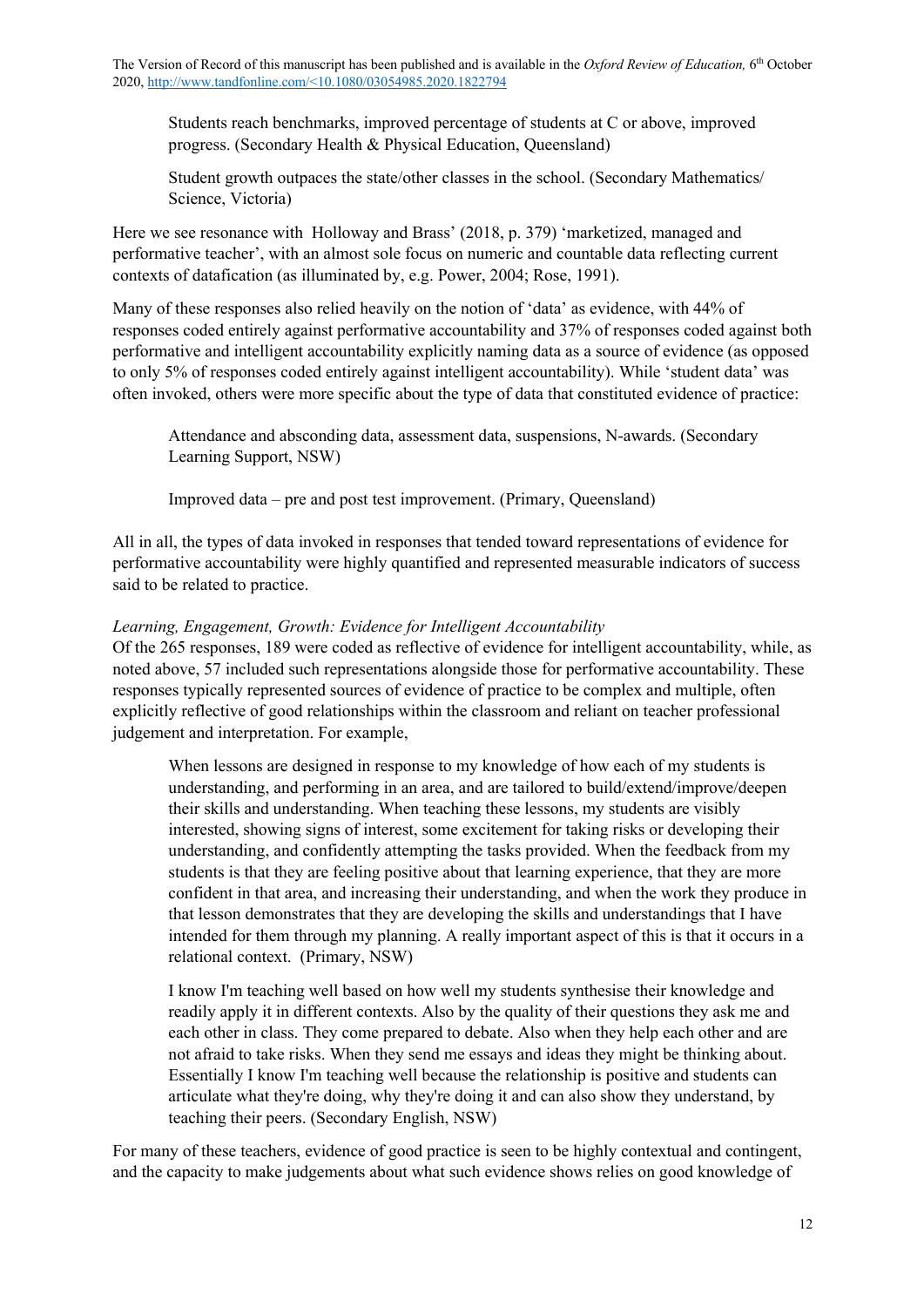Students reach benchmarks, improved percentage of students at C or above, improved progress. (Secondary Health & Physical Education, Queensland)

Student growth outpaces the state/other classes in the school. (Secondary Mathematics/ Science, Victoria)

Here we see resonance with Holloway and Brass' (2018, p. 379) 'marketized, managed and performative teacher', with an almost sole focus on numeric and countable data reflecting current contexts of datafication (as illuminated by, e.g. Power, 2004; Rose, 1991).

Many of these responses also relied heavily on the notion of 'data' as evidence, with 44% of responses coded entirely against performative accountability and 37% of responses coded against both performative and intelligent accountability explicitly naming data as a source of evidence (as opposed to only 5% of responses coded entirely against intelligent accountability). While 'student data' was often invoked, others were more specific about the type of data that constituted evidence of practice:

Attendance and absconding data, assessment data, suspensions, N-awards. (Secondary Learning Support, NSW)

Improved data – pre and post test improvement. (Primary, Queensland)

All in all, the types of data invoked in responses that tended toward representations of evidence for performative accountability were highly quantified and represented measurable indicators of success said to be related to practice.

# *Learning, Engagement, Growth: Evidence for Intelligent Accountability*

Of the 265 responses, 189 were coded as reflective of evidence for intelligent accountability, while, as noted above, 57 included such representations alongside those for performative accountability. These responses typically represented sources of evidence of practice to be complex and multiple, often explicitly reflective of good relationships within the classroom and reliant on teacher professional judgement and interpretation. For example,

When lessons are designed in response to my knowledge of how each of my students is understanding, and performing in an area, and are tailored to build/extend/improve/deepen their skills and understanding. When teaching these lessons, my students are visibly interested, showing signs of interest, some excitement for taking risks or developing their understanding, and confidently attempting the tasks provided. When the feedback from my students is that they are feeling positive about that learning experience, that they are more confident in that area, and increasing their understanding, and when the work they produce in that lesson demonstrates that they are developing the skills and understandings that I have intended for them through my planning. A really important aspect of this is that it occurs in a relational context. (Primary, NSW)

I know I'm teaching well based on how well my students synthesise their knowledge and readily apply it in different contexts. Also by the quality of their questions they ask me and each other in class. They come prepared to debate. Also when they help each other and are not afraid to take risks. When they send me essays and ideas they might be thinking about. Essentially I know I'm teaching well because the relationship is positive and students can articulate what they're doing, why they're doing it and can also show they understand, by teaching their peers. (Secondary English, NSW)

For many of these teachers, evidence of good practice is seen to be highly contextual and contingent, and the capacity to make judgements about what such evidence shows relies on good knowledge of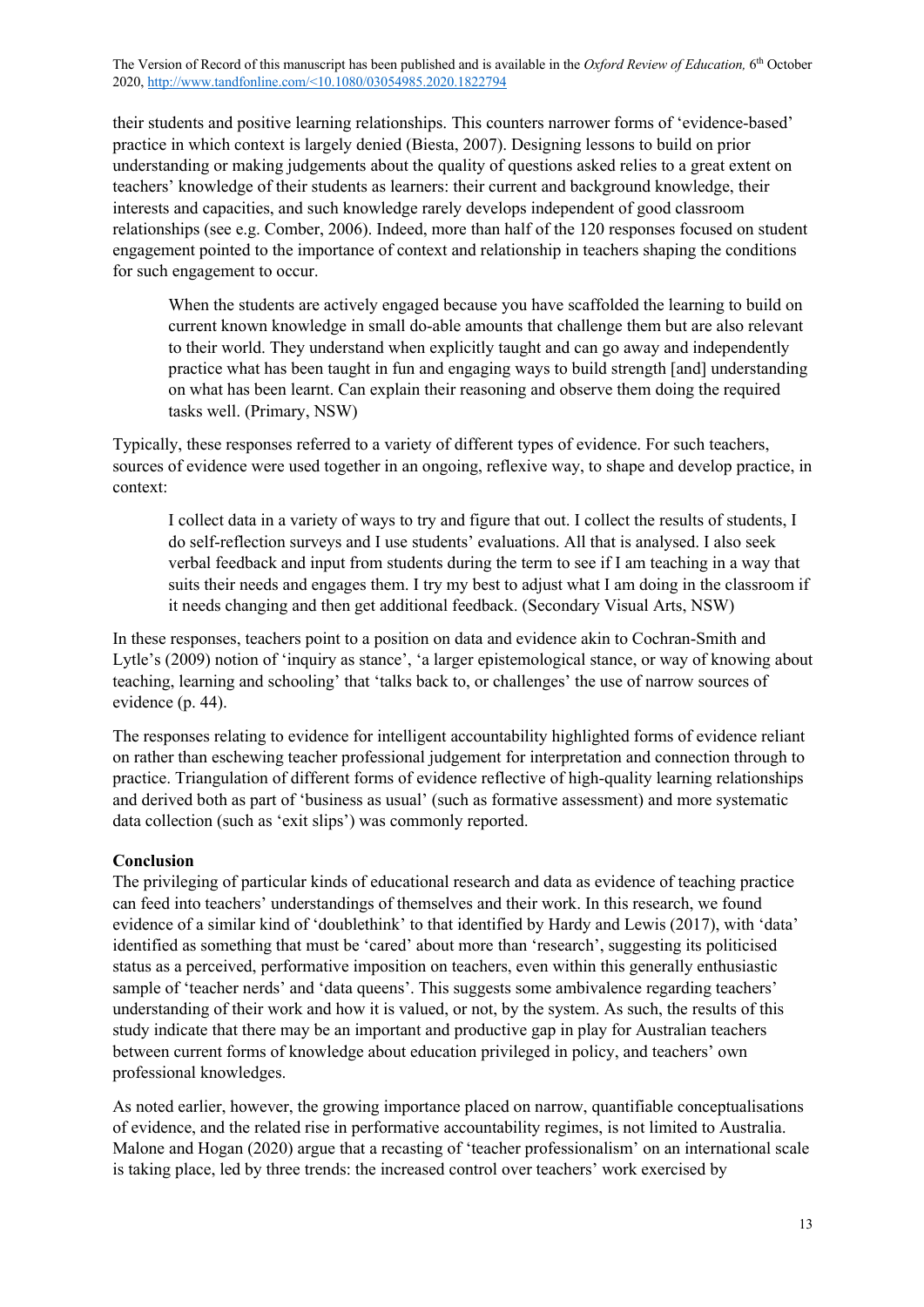their students and positive learning relationships. This counters narrower forms of 'evidence-based' practice in which context is largely denied (Biesta, 2007). Designing lessons to build on prior understanding or making judgements about the quality of questions asked relies to a great extent on teachers' knowledge of their students as learners: their current and background knowledge, their interests and capacities, and such knowledge rarely develops independent of good classroom relationships (see e.g. Comber, 2006). Indeed, more than half of the 120 responses focused on student engagement pointed to the importance of context and relationship in teachers shaping the conditions for such engagement to occur.

When the students are actively engaged because you have scaffolded the learning to build on current known knowledge in small do-able amounts that challenge them but are also relevant to their world. They understand when explicitly taught and can go away and independently practice what has been taught in fun and engaging ways to build strength [and] understanding on what has been learnt. Can explain their reasoning and observe them doing the required tasks well. (Primary, NSW)

Typically, these responses referred to a variety of different types of evidence. For such teachers, sources of evidence were used together in an ongoing, reflexive way, to shape and develop practice, in context:

I collect data in a variety of ways to try and figure that out. I collect the results of students, I do self-reflection surveys and I use students' evaluations. All that is analysed. I also seek verbal feedback and input from students during the term to see if I am teaching in a way that suits their needs and engages them. I try my best to adjust what I am doing in the classroom if it needs changing and then get additional feedback. (Secondary Visual Arts, NSW)

In these responses, teachers point to a position on data and evidence akin to Cochran-Smith and Lytle's (2009) notion of 'inquiry as stance', 'a larger epistemological stance, or way of knowing about teaching, learning and schooling' that 'talks back to, or challenges' the use of narrow sources of evidence (p. 44).

The responses relating to evidence for intelligent accountability highlighted forms of evidence reliant on rather than eschewing teacher professional judgement for interpretation and connection through to practice. Triangulation of different forms of evidence reflective of high-quality learning relationships and derived both as part of 'business as usual' (such as formative assessment) and more systematic data collection (such as 'exit slips') was commonly reported.

### **Conclusion**

The privileging of particular kinds of educational research and data as evidence of teaching practice can feed into teachers' understandings of themselves and their work. In this research, we found evidence of a similar kind of 'doublethink' to that identified by Hardy and Lewis (2017), with 'data' identified as something that must be 'cared' about more than 'research', suggesting its politicised status as a perceived, performative imposition on teachers, even within this generally enthusiastic sample of 'teacher nerds' and 'data queens'. This suggests some ambivalence regarding teachers' understanding of their work and how it is valued, or not, by the system. As such, the results of this study indicate that there may be an important and productive gap in play for Australian teachers between current forms of knowledge about education privileged in policy, and teachers' own professional knowledges.

As noted earlier, however, the growing importance placed on narrow, quantifiable conceptualisations of evidence, and the related rise in performative accountability regimes, is not limited to Australia. Malone and Hogan (2020) argue that a recasting of 'teacher professionalism' on an international scale is taking place, led by three trends: the increased control over teachers' work exercised by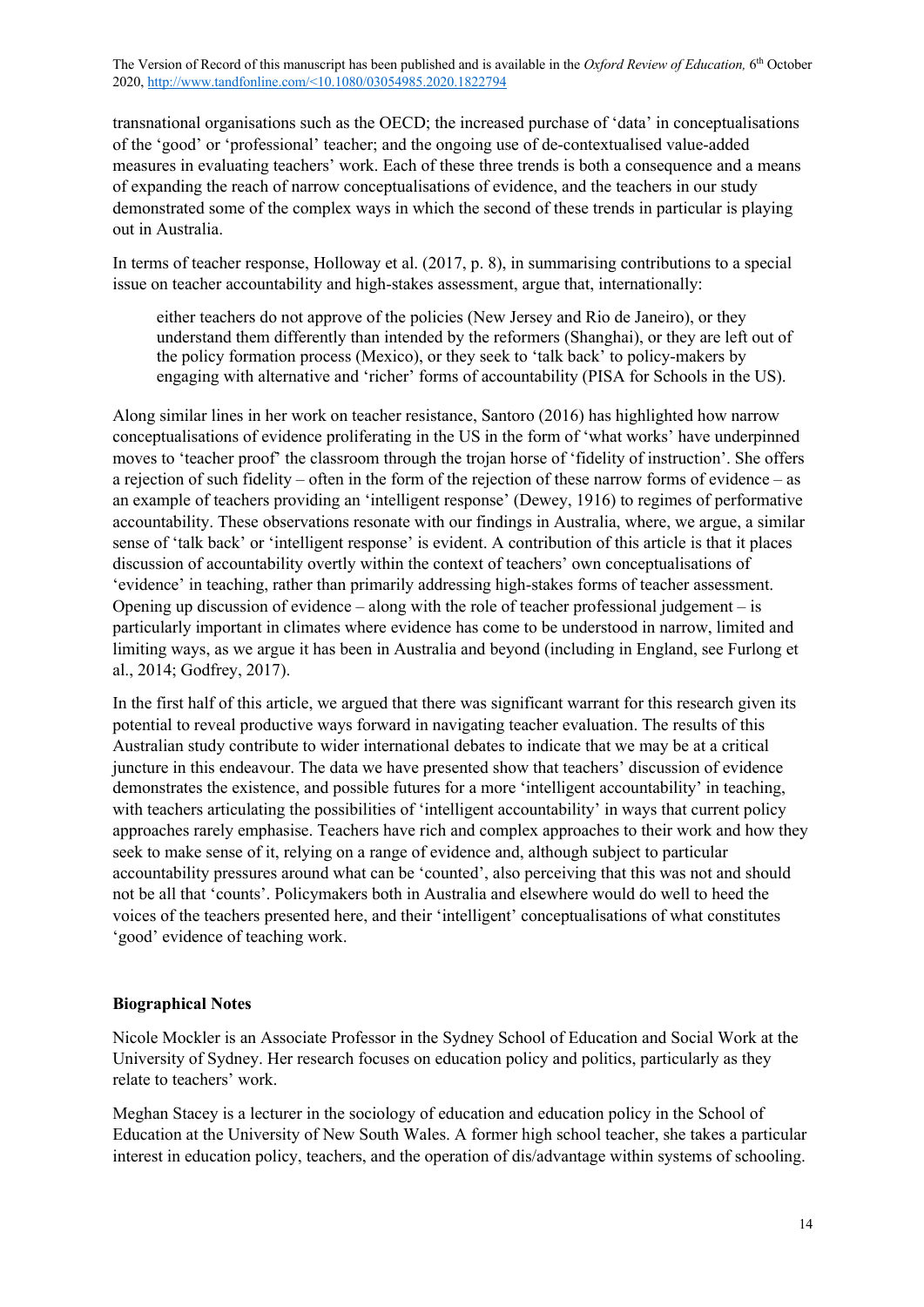transnational organisations such as the OECD; the increased purchase of 'data' in conceptualisations of the 'good' or 'professional' teacher; and the ongoing use of de-contextualised value-added measures in evaluating teachers' work. Each of these three trends is both a consequence and a means of expanding the reach of narrow conceptualisations of evidence, and the teachers in our study demonstrated some of the complex ways in which the second of these trends in particular is playing out in Australia.

In terms of teacher response, Holloway et al. (2017, p. 8), in summarising contributions to a special issue on teacher accountability and high-stakes assessment, argue that, internationally:

either teachers do not approve of the policies (New Jersey and Rio de Janeiro), or they understand them differently than intended by the reformers (Shanghai), or they are left out of the policy formation process (Mexico), or they seek to 'talk back' to policy-makers by engaging with alternative and 'richer' forms of accountability (PISA for Schools in the US).

Along similar lines in her work on teacher resistance, Santoro (2016) has highlighted how narrow conceptualisations of evidence proliferating in the US in the form of 'what works' have underpinned moves to 'teacher proof' the classroom through the trojan horse of 'fidelity of instruction'. She offers a rejection of such fidelity – often in the form of the rejection of these narrow forms of evidence – as an example of teachers providing an 'intelligent response' (Dewey, 1916) to regimes of performative accountability. These observations resonate with our findings in Australia, where, we argue, a similar sense of 'talk back' or 'intelligent response' is evident. A contribution of this article is that it places discussion of accountability overtly within the context of teachers' own conceptualisations of 'evidence' in teaching, rather than primarily addressing high-stakes forms of teacher assessment. Opening up discussion of evidence – along with the role of teacher professional judgement – is particularly important in climates where evidence has come to be understood in narrow, limited and limiting ways, as we argue it has been in Australia and beyond (including in England, see Furlong et al., 2014; Godfrey, 2017).

In the first half of this article, we argued that there was significant warrant for this research given its potential to reveal productive ways forward in navigating teacher evaluation. The results of this Australian study contribute to wider international debates to indicate that we may be at a critical juncture in this endeavour. The data we have presented show that teachers' discussion of evidence demonstrates the existence, and possible futures for a more 'intelligent accountability' in teaching, with teachers articulating the possibilities of 'intelligent accountability' in ways that current policy approaches rarely emphasise. Teachers have rich and complex approaches to their work and how they seek to make sense of it, relying on a range of evidence and, although subject to particular accountability pressures around what can be 'counted', also perceiving that this was not and should not be all that 'counts'. Policymakers both in Australia and elsewhere would do well to heed the voices of the teachers presented here, and their 'intelligent' conceptualisations of what constitutes 'good' evidence of teaching work.

### **Biographical Notes**

Nicole Mockler is an Associate Professor in the Sydney School of Education and Social Work at the University of Sydney. Her research focuses on education policy and politics, particularly as they relate to teachers' work.

Meghan Stacey is a lecturer in the sociology of education and education policy in the School of Education at the University of New South Wales. A former high school teacher, she takes a particular interest in education policy, teachers, and the operation of dis/advantage within systems of schooling.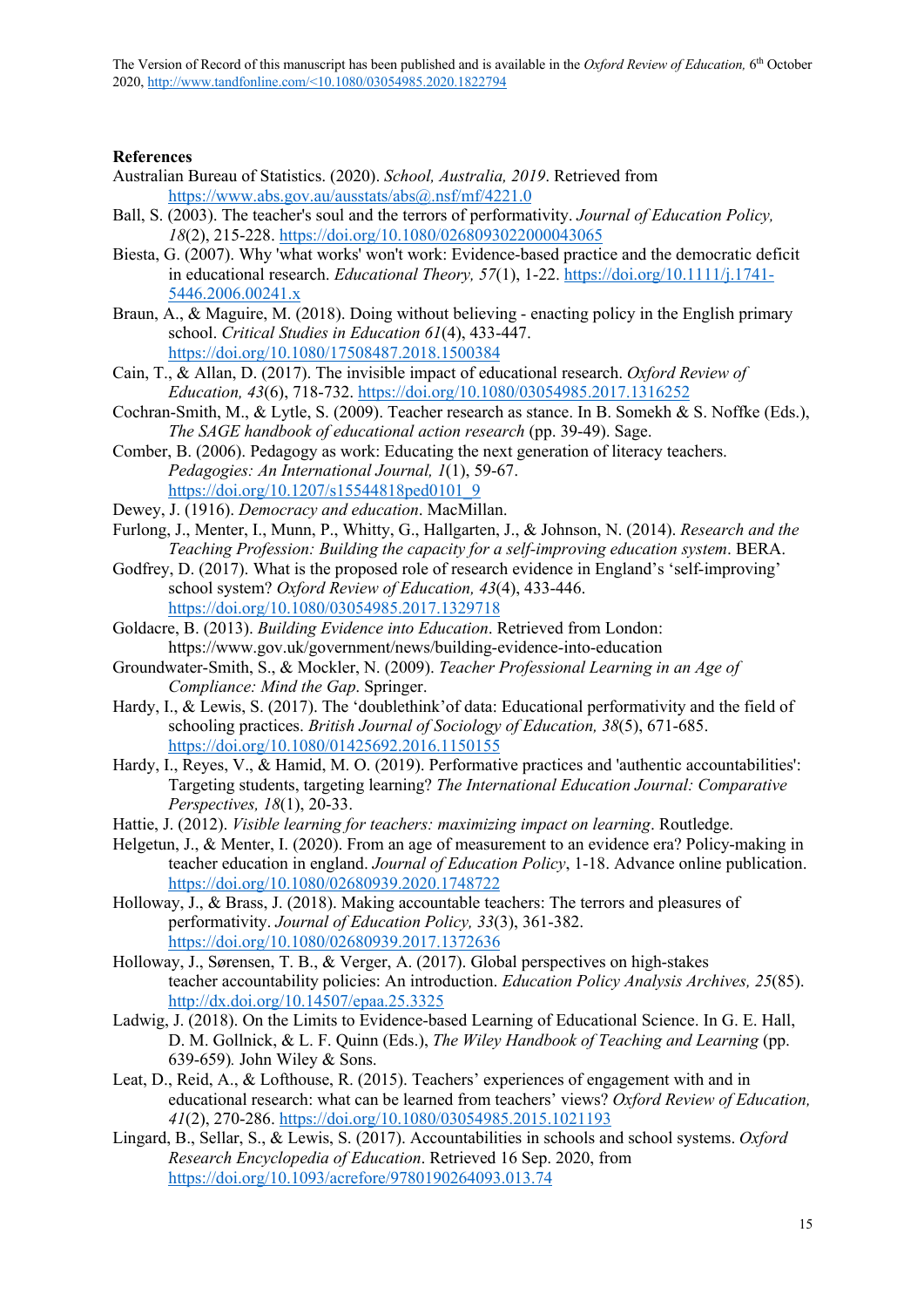#### **References**

- Australian Bureau of Statistics. (2020). *School, Australia, 2019*. Retrieved from https://www.abs.gov.au/ausstats/abs@.nsf/mf/4221.0
- Ball, S. (2003). The teacher's soul and the terrors of performativity. *Journal of Education Policy, 18*(2), 215-228. https://doi.org/10.1080/0268093022000043065
- Biesta, G. (2007). Why 'what works' won't work: Evidence-based practice and the democratic deficit in educational research. *Educational Theory, 57*(1), 1-22. https://doi.org/10.1111/j.1741- 5446.2006.00241.x
- Braun, A., & Maguire, M. (2018). Doing without believing enacting policy in the English primary school. *Critical Studies in Education 61*(4), 433-447. https://doi.org/10.1080/17508487.2018.1500384
- Cain, T., & Allan, D. (2017). The invisible impact of educational research. *Oxford Review of Education, 43*(6), 718-732. https://doi.org/10.1080/03054985.2017.1316252
- Cochran-Smith, M., & Lytle, S. (2009). Teacher research as stance. In B. Somekh & S. Noffke (Eds.), *The SAGE handbook of educational action research* (pp. 39-49). Sage.
- Comber, B. (2006). Pedagogy as work: Educating the next generation of literacy teachers. *Pedagogies: An International Journal, 1*(1), 59-67. https://doi.org/10.1207/s15544818ped0101\_9
- Dewey, J. (1916). *Democracy and education*. MacMillan.
- Furlong, J., Menter, I., Munn, P., Whitty, G., Hallgarten, J., & Johnson, N. (2014). *Research and the Teaching Profession: Building the capacity for a self-improving education system*. BERA.
- Godfrey, D. (2017). What is the proposed role of research evidence in England's 'self-improving' school system? *Oxford Review of Education, 43*(4), 433-446. https://doi.org/10.1080/03054985.2017.1329718
- Goldacre, B. (2013). *Building Evidence into Education*. Retrieved from London: https://www.gov.uk/government/news/building-evidence-into-education
- Groundwater-Smith, S., & Mockler, N. (2009). *Teacher Professional Learning in an Age of Compliance: Mind the Gap*. Springer.
- Hardy, I., & Lewis, S. (2017). The 'doublethink'of data: Educational performativity and the field of schooling practices. *British Journal of Sociology of Education, 38*(5), 671-685. https://doi.org/10.1080/01425692.2016.1150155
- Hardy, I., Reyes, V., & Hamid, M. O. (2019). Performative practices and 'authentic accountabilities': Targeting students, targeting learning? *The International Education Journal: Comparative Perspectives, 18*(1), 20-33.
- Hattie, J. (2012). *Visible learning for teachers: maximizing impact on learning*. Routledge.
- Helgetun, J., & Menter, I. (2020). From an age of measurement to an evidence era? Policy-making in teacher education in england. *Journal of Education Policy*, 1-18. Advance online publication. https://doi.org/10.1080/02680939.2020.1748722
- Holloway, J., & Brass, J. (2018). Making accountable teachers: The terrors and pleasures of performativity. *Journal of Education Policy, 33*(3), 361-382. https://doi.org/10.1080/02680939.2017.1372636
- Holloway, J., Sørensen, T. B., & Verger, A. (2017). Global perspectives on high-stakes teacher accountability policies: An introduction. *Education Policy Analysis Archives, 25*(85). http://dx.doi.org/10.14507/epaa.25.3325
- Ladwig, J. (2018). On the Limits to Evidence-based Learning of Educational Science. In G. E. Hall, D. M. Gollnick, & L. F. Quinn (Eds.), *The Wiley Handbook of Teaching and Learning* (pp. 639-659)*.* John Wiley & Sons.
- Leat, D., Reid, A., & Lofthouse, R. (2015). Teachers' experiences of engagement with and in educational research: what can be learned from teachers' views? *Oxford Review of Education, 41*(2), 270-286. https://doi.org/10.1080/03054985.2015.1021193
- Lingard, B., Sellar, S., & Lewis, S. (2017). Accountabilities in schools and school systems. *Oxford Research Encyclopedia of Education*. Retrieved 16 Sep. 2020, from https://doi.org/10.1093/acrefore/9780190264093.013.74